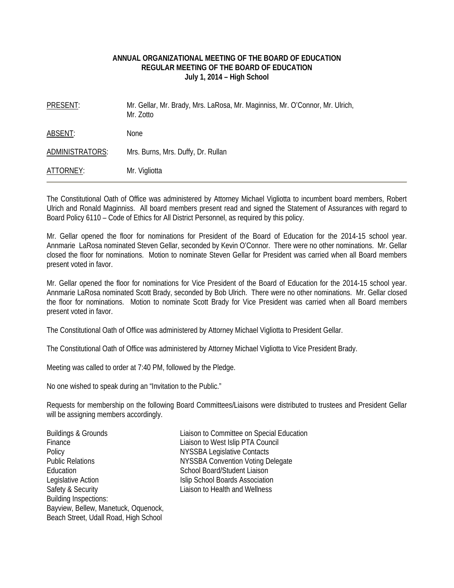### **ANNUAL ORGANIZATIONAL MEETING OF THE BOARD OF EDUCATION REGULAR MEETING OF THE BOARD OF EDUCATION July 1, 2014 – High School**

| PRESENT:        | Mr. Gellar, Mr. Brady, Mrs. LaRosa, Mr. Maginniss, Mr. O'Connor, Mr. Ulrich,<br>Mr. Zotto |
|-----------------|-------------------------------------------------------------------------------------------|
| ABSENT:         | <b>None</b>                                                                               |
| ADMINISTRATORS: | Mrs. Burns, Mrs. Duffy, Dr. Rullan                                                        |
| ATTORNEY:       | Mr. Vigliotta                                                                             |

The Constitutional Oath of Office was administered by Attorney Michael Vigliotta to incumbent board members, Robert Ulrich and Ronald Maginniss. All board members present read and signed the Statement of Assurances with regard to Board Policy 6110 – Code of Ethics for All District Personnel, as required by this policy.

Mr. Gellar opened the floor for nominations for President of the Board of Education for the 2014-15 school year. Annmarie LaRosa nominated Steven Gellar, seconded by Kevin O'Connor. There were no other nominations. Mr. Gellar closed the floor for nominations. Motion to nominate Steven Gellar for President was carried when all Board members present voted in favor.

Mr. Gellar opened the floor for nominations for Vice President of the Board of Education for the 2014-15 school year. Annmarie LaRosa nominated Scott Brady, seconded by Bob Ulrich. There were no other nominations. Mr. Gellar closed the floor for nominations. Motion to nominate Scott Brady for Vice President was carried when all Board members present voted in favor.

The Constitutional Oath of Office was administered by Attorney Michael Vigliotta to President Gellar.

The Constitutional Oath of Office was administered by Attorney Michael Vigliotta to Vice President Brady.

Meeting was called to order at 7:40 PM, followed by the Pledge.

No one wished to speak during an "Invitation to the Public."

Requests for membership on the following Board Committees/Liaisons were distributed to trustees and President Gellar will be assigning members accordingly.

| Buildings & Grounds                   |
|---------------------------------------|
| Finance                               |
| Policy                                |
| <b>Public Relations</b>               |
| Education                             |
| Legislative Action                    |
| Safety & Security                     |
| <b>Building Inspections:</b>          |
| Bayview, Bellew, Manetuck, Oquenock,  |
| Beach Street, Udall Road, High School |

Buildings & Grounds Liaison to Committee on Special Education Liaison to West Islip PTA Council **NYSSBA Legislative Contacts NYSSBA Convention Voting Delegate** School Board/Student Liaison **Islip School Boards Association** Liaison to Health and Wellness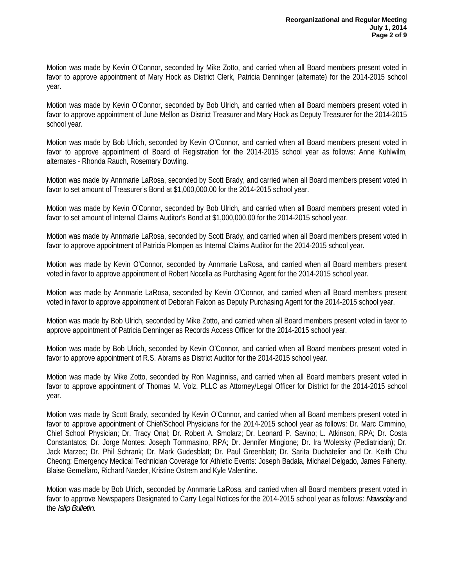Motion was made by Kevin O'Connor, seconded by Mike Zotto, and carried when all Board members present voted in favor to approve appointment of Mary Hock as District Clerk, Patricia Denninger (alternate) for the 2014-2015 school year.

Motion was made by Kevin O'Connor, seconded by Bob Ulrich, and carried when all Board members present voted in favor to approve appointment of June Mellon as District Treasurer and Mary Hock as Deputy Treasurer for the 2014-2015 school year.

Motion was made by Bob Ulrich, seconded by Kevin O'Connor, and carried when all Board members present voted in favor to approve appointment of Board of Registration for the 2014-2015 school year as follows: Anne Kuhlwilm, alternates - Rhonda Rauch, Rosemary Dowling.

Motion was made by Annmarie LaRosa, seconded by Scott Brady, and carried when all Board members present voted in favor to set amount of Treasurer's Bond at \$1,000,000.00 for the 2014-2015 school year.

Motion was made by Kevin O'Connor, seconded by Bob Ulrich, and carried when all Board members present voted in favor to set amount of Internal Claims Auditor's Bond at \$1,000,000.00 for the 2014-2015 school year.

Motion was made by Annmarie LaRosa, seconded by Scott Brady, and carried when all Board members present voted in favor to approve appointment of Patricia Plompen as Internal Claims Auditor for the 2014-2015 school year.

Motion was made by Kevin O'Connor, seconded by Annmarie LaRosa, and carried when all Board members present voted in favor to approve appointment of Robert Nocella as Purchasing Agent for the 2014-2015 school year.

Motion was made by Annmarie LaRosa, seconded by Kevin O'Connor, and carried when all Board members present voted in favor to approve appointment of Deborah Falcon as Deputy Purchasing Agent for the 2014-2015 school year.

Motion was made by Bob Ulrich, seconded by Mike Zotto, and carried when all Board members present voted in favor to approve appointment of Patricia Denninger as Records Access Officer for the 2014-2015 school year.

Motion was made by Bob Ulrich, seconded by Kevin O'Connor, and carried when all Board members present voted in favor to approve appointment of R.S. Abrams as District Auditor for the 2014-2015 school year.

Motion was made by Mike Zotto, seconded by Ron Maginniss, and carried when all Board members present voted in favor to approve appointment of Thomas M. Volz, PLLC as Attorney/Legal Officer for District for the 2014-2015 school year.

Motion was made by Scott Brady, seconded by Kevin O'Connor, and carried when all Board members present voted in favor to approve appointment of Chief/School Physicians for the 2014-2015 school year as follows: Dr. Marc Cimmino, Chief School Physician; Dr. Tracy Onal; Dr. Robert A. Smolarz; Dr. Leonard P. Savino; L. Atkinson, RPA; Dr. Costa Constantatos; Dr. Jorge Montes; Joseph Tommasino, RPA; Dr. Jennifer Mingione; Dr. Ira Woletsky (Pediatrician); Dr. Jack Marzec; Dr. Phil Schrank; Dr. Mark Gudesblatt; Dr. Paul Greenblatt; Dr. Sarita Duchatelier and Dr. Keith Chu Cheong; Emergency Medical Technician Coverage for Athletic Events: Joseph Badala, Michael Delgado, James Faherty, Blaise Gemellaro, Richard Naeder, Kristine Ostrem and Kyle Valentine.

Motion was made by Bob Ulrich, seconded by Annmarie LaRosa, and carried when all Board members present voted in favor to approve Newspapers Designated to Carry Legal Notices for the 2014-2015 school year as follows: *Newsday* and the *Islip Bulletin*.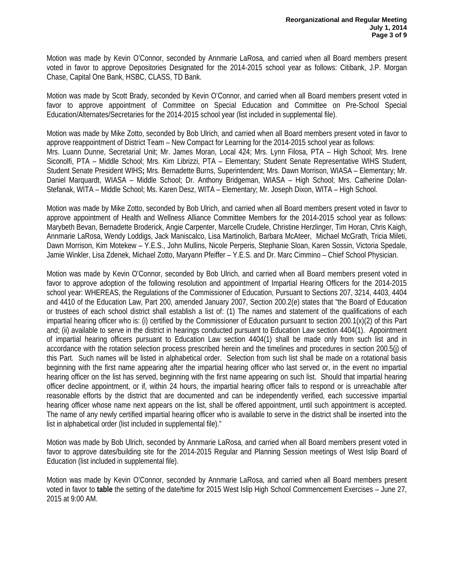Motion was made by Kevin O'Connor, seconded by Annmarie LaRosa, and carried when all Board members present voted in favor to approve Depositories Designated for the 2014-2015 school year as follows: Citibank, J.P. Morgan Chase, Capital One Bank, HSBC, CLASS, TD Bank.

Motion was made by Scott Brady, seconded by Kevin O'Connor, and carried when all Board members present voted in favor to approve appointment of Committee on Special Education and Committee on Pre-School Special Education/Alternates/Secretaries for the 2014-2015 school year (list included in supplemental file).

Motion was made by Mike Zotto, seconded by Bob Ulrich, and carried when all Board members present voted in favor to approve reappointment of District Team – New Compact for Learning for the 2014-2015 school year as follows: Mrs. Luann Dunne, Secretarial Unit; Mr. James Moran, Local 424; Mrs. Lynn Filosa, PTA – High School; Mrs. Irene Siconolfi, PTA – Middle School; Mrs. Kim Librizzi, PTA – Elementary; Student Senate Representative WIHS Student, Student Senate President WIHS**;** Mrs. Bernadette Burns, Superintendent; Mrs. Dawn Morrison, WIASA – Elementary; Mr. Daniel Marquardt, WIASA – Middle School; Dr. Anthony Bridgeman, WIASA – High School; Mrs. Catherine Dolan-Stefanak, WITA – Middle School; Ms. Karen Desz, WITA – Elementary; Mr. Joseph Dixon, WITA – High School.

Motion was made by Mike Zotto, seconded by Bob Ulrich, and carried when all Board members present voted in favor to approve appointment of Health and Wellness Alliance Committee Members for the 2014-2015 school year as follows: Marybeth Bevan, Bernadette Broderick, Angie Carpenter, Marcelle Crudele, Christine Herzlinger, Tim Horan, Chris Kaigh, Annmarie LaRosa, Wendy Loddigs, Jack Maniscalco, Lisa Martinolich, Barbara McAteer, Michael McGrath, Tricia Mileti, Dawn Morrison, Kim Motekew – Y.E.S., John Mullins, Nicole Perperis, Stephanie Sloan, Karen Sossin, Victoria Spedale, Jamie Winkler, Lisa Zdenek, Michael Zotto, Maryann Pfeiffer – Y.E.S. and Dr. Marc Cimmino – Chief School Physician.

Motion was made by Kevin O'Connor, seconded by Bob Ulrich, and carried when all Board members present voted in favor to approve adoption of the following resolution and appointment of Impartial Hearing Officers for the 2014-2015 school year: WHEREAS, the Regulations of the Commissioner of Education, Pursuant to Sections 207, 3214, 4403, 4404 and 4410 of the Education Law, Part 200, amended January 2007, Section 200.2(e) states that "the Board of Education or trustees of each school district shall establish a list of: (1) The names and statement of the qualifications of each impartial hearing officer who is: (i) certified by the Commissioner of Education pursuant to section 200.1(x)(2) of this Part and; (ii) available to serve in the district in hearings conducted pursuant to Education Law section 4404(1). Appointment of impartial hearing officers pursuant to Education Law section 4404(1) shall be made only from such list and in accordance with the rotation selection process prescribed herein and the timelines and procedures in section 200.5(j) of this Part. Such names will be listed in alphabetical order. Selection from such list shall be made on a rotational basis beginning with the first name appearing after the impartial hearing officer who last served or, in the event no impartial hearing officer on the list has served, beginning with the first name appearing on such list. Should that impartial hearing officer decline appointment, or if, within 24 hours, the impartial hearing officer fails to respond or is unreachable after reasonable efforts by the district that are documented and can be independently verified, each successive impartial hearing officer whose name next appears on the list, shall be offered appointment, until such appointment is accepted. The name of any newly certified impartial hearing officer who is available to serve in the district shall be inserted into the list in alphabetical order (list included in supplemental file)."

Motion was made by Bob Ulrich, seconded by Annmarie LaRosa, and carried when all Board members present voted in favor to approve dates/building site for the 2014-2015 Regular and Planning Session meetings of West Islip Board of Education (list included in supplemental file).

Motion was made by Kevin O'Connor, seconded by Annmarie LaRosa, and carried when all Board members present voted in favor to **table** the setting of the date/time for 2015 West Islip High School Commencement Exercises – June 27, 2015 at 9:00 AM.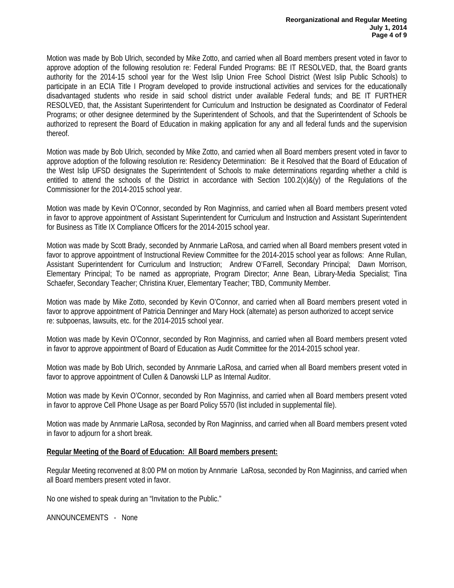Motion was made by Bob Ulrich, seconded by Mike Zotto, and carried when all Board members present voted in favor to approve adoption of the following resolution re: Federal Funded Programs: BE IT RESOLVED, that, the Board grants authority for the 2014-15 school year for the West Islip Union Free School District (West Islip Public Schools) to participate in an ECIA Title I Program developed to provide instructional activities and services for the educationally disadvantaged students who reside in said school district under available Federal funds; and BE IT FURTHER RESOLVED, that, the Assistant Superintendent for Curriculum and Instruction be designated as Coordinator of Federal Programs; or other designee determined by the Superintendent of Schools, and that the Superintendent of Schools be authorized to represent the Board of Education in making application for any and all federal funds and the supervision thereof.

Motion was made by Bob Ulrich, seconded by Mike Zotto, and carried when all Board members present voted in favor to approve adoption of the following resolution re: Residency Determination: Be it Resolved that the Board of Education of the West Islip UFSD designates the Superintendent of Schools to make determinations regarding whether a child is entitled to attend the schools of the District in accordance with Section 100.2(x)&(y) of the Regulations of the Commissioner for the 2014-2015 school year.

Motion was made by Kevin O'Connor, seconded by Ron Maginniss, and carried when all Board members present voted in favor to approve appointment of Assistant Superintendent for Curriculum and Instruction and Assistant Superintendent for Business as Title IX Compliance Officers for the 2014-2015 school year.

Motion was made by Scott Brady, seconded by Annmarie LaRosa, and carried when all Board members present voted in favor to approve appointment of Instructional Review Committee for the 2014-2015 school year as follows: Anne Rullan, Assistant Superintendent for Curriculum and Instruction; Andrew O'Farrell, Secondary Principal; Dawn Morrison, Elementary Principal; To be named as appropriate, Program Director; Anne Bean, Library-Media Specialist; Tina Schaefer, Secondary Teacher; Christina Kruer, Elementary Teacher; TBD, Community Member.

Motion was made by Mike Zotto, seconded by Kevin O'Connor, and carried when all Board members present voted in favor to approve appointment of Patricia Denninger and Mary Hock (alternate) as person authorized to accept service re: subpoenas, lawsuits, etc. for the 2014-2015 school year.

Motion was made by Kevin O'Connor, seconded by Ron Maginniss, and carried when all Board members present voted in favor to approve appointment of Board of Education as Audit Committee for the 2014-2015 school year.

Motion was made by Bob Ulrich, seconded by Annmarie LaRosa, and carried when all Board members present voted in favor to approve appointment of Cullen & Danowski LLP as Internal Auditor.

Motion was made by Kevin O'Connor, seconded by Ron Maginniss, and carried when all Board members present voted in favor to approve Cell Phone Usage as per Board Policy 5570 (list included in supplemental file).

Motion was made by Annmarie LaRosa, seconded by Ron Maginniss, and carried when all Board members present voted in favor to adjourn for a short break.

### **Regular Meeting of the Board of Education: All Board members present:**

Regular Meeting reconvened at 8:00 PM on motion by Annmarie LaRosa, seconded by Ron Maginniss, and carried when all Board members present voted in favor.

No one wished to speak during an "Invitation to the Public."

ANNOUNCEMENTS - None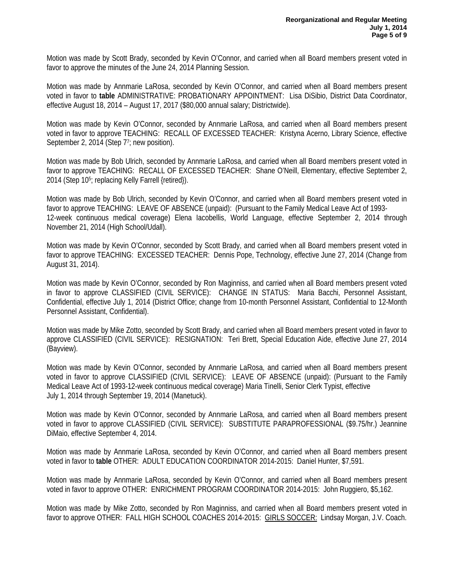Motion was made by Scott Brady, seconded by Kevin O'Connor, and carried when all Board members present voted in favor to approve the minutes of the June 24, 2014 Planning Session.

Motion was made by Annmarie LaRosa, seconded by Kevin O'Connor, and carried when all Board members present voted in favor to **table** ADMINISTRATIVE: PROBATIONARY APPOINTMENT: Lisa DiSibio, District Data Coordinator, effective August 18, 2014 – August 17, 2017 (\$80,000 annual salary; Districtwide).

Motion was made by Kevin O'Connor, seconded by Annmarie LaRosa, and carried when all Board members present voted in favor to approve TEACHING: RECALL OF EXCESSED TEACHER: Kristyna Acerno, Library Science, effective September 2, 2014 (Step 7<sup>7</sup>; new position).

Motion was made by Bob Ulrich, seconded by Annmarie LaRosa, and carried when all Board members present voted in favor to approve TEACHING: RECALL OF EXCESSED TEACHER: Shane O'Neill, Elementary, effective September 2, 2014 (Step 10<sup>5</sup>; replacing Kelly Farrell {retired}).

Motion was made by Bob Ulrich, seconded by Kevin O'Connor, and carried when all Board members present voted in favor to approve TEACHING: LEAVE OF ABSENCE (unpaid): (Pursuant to the Family Medical Leave Act of 1993- 12-week continuous medical coverage) Elena Iacobellis, World Language, effective September 2, 2014 through November 21, 2014 (High School/Udall).

Motion was made by Kevin O'Connor, seconded by Scott Brady, and carried when all Board members present voted in favor to approve TEACHING: EXCESSED TEACHER: Dennis Pope, Technology, effective June 27, 2014 (Change from August 31, 2014).

Motion was made by Kevin O'Connor, seconded by Ron Maginniss, and carried when all Board members present voted in favor to approve CLASSIFIED (CIVIL SERVICE): CHANGE IN STATUS: Maria Bacchi, Personnel Assistant, Confidential, effective July 1, 2014 (District Office; change from 10-month Personnel Assistant, Confidential to 12-Month Personnel Assistant, Confidential).

Motion was made by Mike Zotto, seconded by Scott Brady, and carried when all Board members present voted in favor to approve CLASSIFIED (CIVIL SERVICE): RESIGNATION: Teri Brett, Special Education Aide, effective June 27, 2014 (Bayview).

Motion was made by Kevin O'Connor, seconded by Annmarie LaRosa, and carried when all Board members present voted in favor to approve CLASSIFIED (CIVIL SERVICE): LEAVE OF ABSENCE (unpaid): (Pursuant to the Family Medical Leave Act of 1993-12-week continuous medical coverage) Maria Tinelli, Senior Clerk Typist, effective July 1, 2014 through September 19, 2014 (Manetuck).

Motion was made by Kevin O'Connor, seconded by Annmarie LaRosa, and carried when all Board members present voted in favor to approve CLASSIFIED (CIVIL SERVICE): SUBSTITUTE PARAPROFESSIONAL (\$9.75/hr.) Jeannine DiMaio, effective September 4, 2014.

Motion was made by Annmarie LaRosa, seconded by Kevin O'Connor, and carried when all Board members present voted in favor to **table** OTHER: ADULT EDUCATION COORDINATOR 2014-2015: Daniel Hunter, \$7,591.

Motion was made by Annmarie LaRosa, seconded by Kevin O'Connor, and carried when all Board members present voted in favor to approve OTHER: ENRICHMENT PROGRAM COORDINATOR 2014-2015: John Ruggiero, \$5,162.

Motion was made by Mike Zotto, seconded by Ron Maginniss, and carried when all Board members present voted in favor to approve OTHER: FALL HIGH SCHOOL COACHES 2014-2015: GIRLS SOCCER: Lindsay Morgan, J.V. Coach.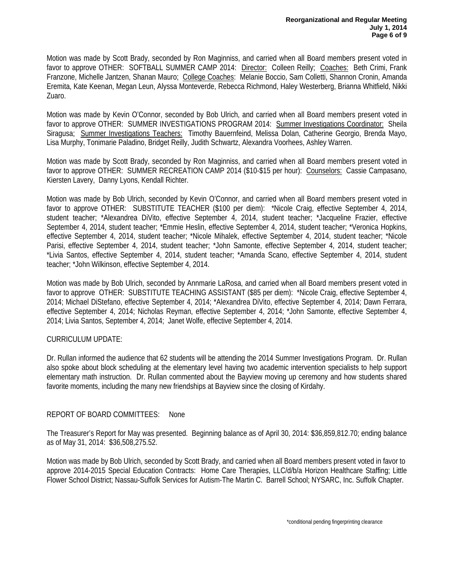Motion was made by Scott Brady, seconded by Ron Maginniss, and carried when all Board members present voted in favor to approve OTHER: SOFTBALL SUMMER CAMP 2014: Director: Colleen Reilly; Coaches: Beth Crimi, Frank Franzone, Michelle Jantzen, Shanan Mauro; College Coaches: Melanie Boccio, Sam Colletti, Shannon Cronin, Amanda Eremita, Kate Keenan, Megan Leun, Alyssa Monteverde, Rebecca Richmond, Haley Westerberg, Brianna Whitfield, Nikki Zuaro.

Motion was made by Kevin O'Connor, seconded by Bob Ulrich, and carried when all Board members present voted in favor to approve OTHER: SUMMER INVESTIGATIONS PROGRAM 2014: Summer Investigations Coordinator: Sheila Siragusa; Summer Investigations Teachers: Timothy Bauernfeind, Melissa Dolan, Catherine Georgio, Brenda Mayo, Lisa Murphy, Tonimarie Paladino, Bridget Reilly, Judith Schwartz, Alexandra Voorhees, Ashley Warren.

Motion was made by Scott Brady, seconded by Ron Maginniss, and carried when all Board members present voted in favor to approve OTHER: SUMMER RECREATION CAMP 2014 (\$10-\$15 per hour): Counselors: Cassie Campasano, Kiersten Lavery, Danny Lyons, Kendall Richter.

Motion was made by Bob Ulrich, seconded by Kevin O'Connor, and carried when all Board members present voted in favor to approve OTHER: SUBSTITUTE TEACHER (\$100 per diem): \*Nicole Craig, effective September 4, 2014, student teacher; \*Alexandrea DiVito, effective September 4, 2014, student teacher; \*Jacqueline Frazier, effective September 4, 2014, student teacher; \*Emmie Heslin, effective September 4, 2014, student teacher; \*Veronica Hopkins, effective September 4, 2014, student teacher; \*Nicole Mihalek, effective September 4, 2014, student teacher; \*Nicole Parisi, effective September 4, 2014, student teacher; \*John Samonte, effective September 4, 2014, student teacher; \*Livia Santos, effective September 4, 2014, student teacher; \*Amanda Scano, effective September 4, 2014, student teacher; \*John Wilkinson, effective September 4, 2014.

Motion was made by Bob Ulrich, seconded by Annmarie LaRosa, and carried when all Board members present voted in favor to approve OTHER: SUBSTITUTE TEACHING ASSISTANT (\$85 per diem): \*Nicole Craig, effective September 4, 2014; Michael DiStefano, effective September 4, 2014; \*Alexandrea DiVito, effective September 4, 2014; Dawn Ferrara, effective September 4, 2014; Nicholas Reyman, effective September 4, 2014; \*John Samonte, effective September 4, 2014; Livia Santos, September 4, 2014; Janet Wolfe, effective September 4, 2014.

# CURRICULUM UPDATE:

Dr. Rullan informed the audience that 62 students will be attending the 2014 Summer Investigations Program. Dr. Rullan also spoke about block scheduling at the elementary level having two academic intervention specialists to help support elementary math instruction. Dr. Rullan commented about the Bayview moving up ceremony and how students shared favorite moments, including the many new friendships at Bayview since the closing of Kirdahy.

# REPORT OF BOARD COMMITTEES: None

The Treasurer's Report for May was presented. Beginning balance as of April 30, 2014: \$36,859,812.70; ending balance as of May 31, 2014: \$36,508,275.52.

Motion was made by Bob Ulrich, seconded by Scott Brady, and carried when all Board members present voted in favor to approve 2014-2015 Special Education Contracts: Home Care Therapies, LLC/d/b/a Horizon Healthcare Staffing; Little Flower School District; Nassau-Suffolk Services for Autism-The Martin C. Barrell School; NYSARC, Inc. Suffolk Chapter.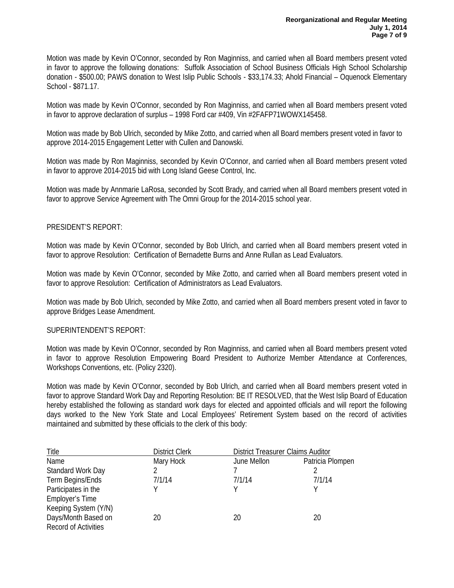Motion was made by Kevin O'Connor, seconded by Ron Maginniss, and carried when all Board members present voted in favor to approve the following donations: Suffolk Association of School Business Officials High School Scholarship donation - \$500.00; PAWS donation to West Islip Public Schools - \$33,174.33; Ahold Financial – Oquenock Elementary School - \$871.17.

Motion was made by Kevin O'Connor, seconded by Ron Maginniss, and carried when all Board members present voted in favor to approve declaration of surplus – 1998 Ford car #409, Vin #2FAFP71WOWX145458.

Motion was made by Bob Ulrich, seconded by Mike Zotto, and carried when all Board members present voted in favor to approve 2014-2015 Engagement Letter with Cullen and Danowski.

Motion was made by Ron Maginniss, seconded by Kevin O'Connor, and carried when all Board members present voted in favor to approve 2014-2015 bid with Long Island Geese Control, Inc.

Motion was made by Annmarie LaRosa, seconded by Scott Brady, and carried when all Board members present voted in favor to approve Service Agreement with The Omni Group for the 2014-2015 school year.

## PRESIDENT'S REPORT:

Motion was made by Kevin O'Connor, seconded by Bob Ulrich, and carried when all Board members present voted in favor to approve Resolution: Certification of Bernadette Burns and Anne Rullan as Lead Evaluators.

Motion was made by Kevin O'Connor, seconded by Mike Zotto, and carried when all Board members present voted in favor to approve Resolution: Certification of Administrators as Lead Evaluators.

Motion was made by Bob Ulrich, seconded by Mike Zotto, and carried when all Board members present voted in favor to approve Bridges Lease Amendment.

### SUPERINTENDENT'S REPORT:

Motion was made by Kevin O'Connor, seconded by Ron Maginniss, and carried when all Board members present voted in favor to approve Resolution Empowering Board President to Authorize Member Attendance at Conferences, Workshops Conventions, etc. (Policy 2320).

Motion was made by Kevin O'Connor, seconded by Bob Ulrich, and carried when all Board members present voted in favor to approve Standard Work Day and Reporting Resolution: BE IT RESOLVED, that the West Islip Board of Education hereby established the following as standard work days for elected and appointed officials and will report the following days worked to the New York State and Local Employees' Retirement System based on the record of activities maintained and submitted by these officials to the clerk of this body:

| Title                       | <b>District Clerk</b> |             | <b>District Treasurer Claims Auditor</b> |  |
|-----------------------------|-----------------------|-------------|------------------------------------------|--|
| Name                        | Mary Hock             | June Mellon | Patricia Plompen                         |  |
| Standard Work Day           |                       |             |                                          |  |
| Term Begins/Ends            | 7/1/14                | 7/1/14      | 7/1/14                                   |  |
| Participates in the         | v                     |             |                                          |  |
| <b>Employer's Time</b>      |                       |             |                                          |  |
| Keeping System (Y/N)        |                       |             |                                          |  |
| Days/Month Based on         | 20                    | 20          | 20                                       |  |
| <b>Record of Activities</b> |                       |             |                                          |  |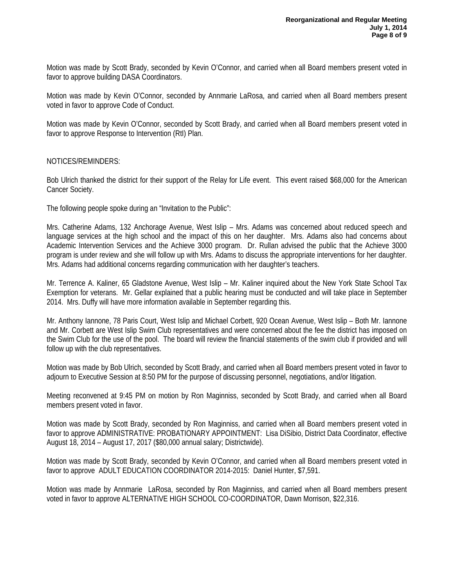Motion was made by Scott Brady, seconded by Kevin O'Connor, and carried when all Board members present voted in favor to approve building DASA Coordinators.

Motion was made by Kevin O'Connor, seconded by Annmarie LaRosa, and carried when all Board members present voted in favor to approve Code of Conduct.

Motion was made by Kevin O'Connor, seconded by Scott Brady, and carried when all Board members present voted in favor to approve Response to Intervention (RtI) Plan.

## NOTICES/REMINDERS:

Bob Ulrich thanked the district for their support of the Relay for Life event. This event raised \$68,000 for the American Cancer Society.

The following people spoke during an "Invitation to the Public":

Mrs. Catherine Adams, 132 Anchorage Avenue, West Islip – Mrs. Adams was concerned about reduced speech and language services at the high school and the impact of this on her daughter. Mrs. Adams also had concerns about Academic Intervention Services and the Achieve 3000 program. Dr. Rullan advised the public that the Achieve 3000 program is under review and she will follow up with Mrs. Adams to discuss the appropriate interventions for her daughter. Mrs. Adams had additional concerns regarding communication with her daughter's teachers.

Mr. Terrence A. Kaliner, 65 Gladstone Avenue, West Islip – Mr. Kaliner inquired about the New York State School Tax Exemption for veterans. Mr. Gellar explained that a public hearing must be conducted and will take place in September 2014. Mrs. Duffy will have more information available in September regarding this.

Mr. Anthony Iannone, 78 Paris Court, West Islip and Michael Corbett, 920 Ocean Avenue, West Islip – Both Mr. Iannone and Mr. Corbett are West Islip Swim Club representatives and were concerned about the fee the district has imposed on the Swim Club for the use of the pool. The board will review the financial statements of the swim club if provided and will follow up with the club representatives.

Motion was made by Bob Ulrich, seconded by Scott Brady, and carried when all Board members present voted in favor to adjourn to Executive Session at 8:50 PM for the purpose of discussing personnel, negotiations, and/or litigation.

Meeting reconvened at 9:45 PM on motion by Ron Maginniss, seconded by Scott Brady, and carried when all Board members present voted in favor.

Motion was made by Scott Brady, seconded by Ron Maginniss, and carried when all Board members present voted in favor to approve ADMINISTRATIVE: PROBATIONARY APPOINTMENT: Lisa DiSibio, District Data Coordinator, effective August 18, 2014 – August 17, 2017 (\$80,000 annual salary; Districtwide).

Motion was made by Scott Brady, seconded by Kevin O'Connor, and carried when all Board members present voted in favor to approveADULT EDUCATION COORDINATOR 2014-2015: Daniel Hunter, \$7,591.

Motion was made by Annmarie LaRosa, seconded by Ron Maginniss, and carried when all Board members present voted in favor to approve ALTERNATIVE HIGH SCHOOL CO-COORDINATOR, Dawn Morrison, \$22,316.